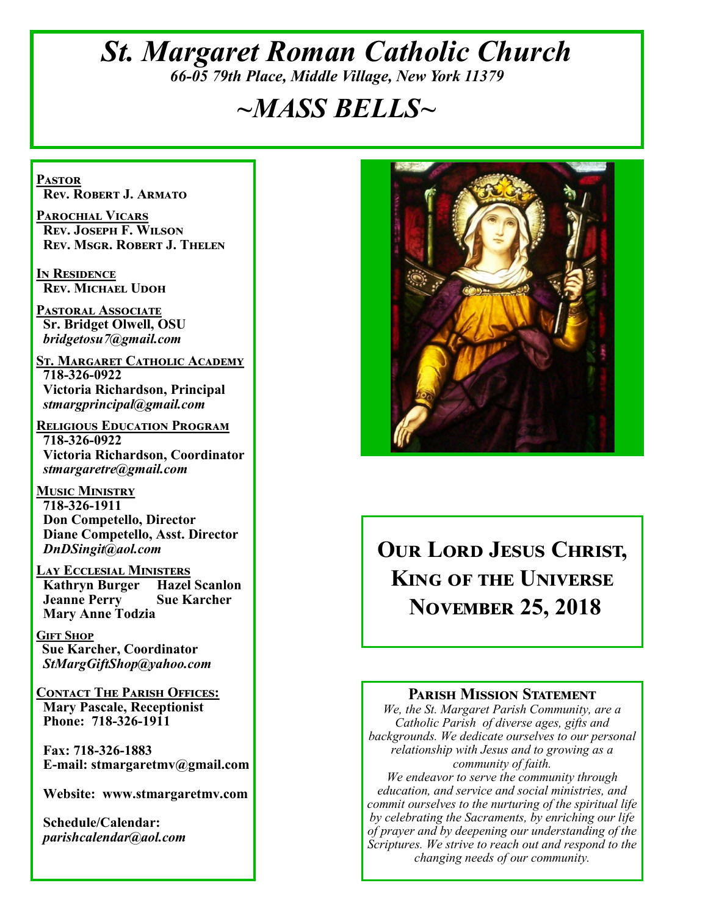# *St. Margaret Roman Catholic Church 66-05 79th Place, Middle Village, New York 11379*

# *~MASS BELLS~*

**Pastor Rev. Robert J. Armato**

**Parochial Vicars Rev. Joseph F. Wilson Rev. Msgr. Robert J. Thelen**

**In Residence Rev. Michael Udoh**

**Pastoral Associate Sr. Bridget Olwell, OSU**  *bridgetosu7@gmail.com*

**St. Margaret Catholic Academy 718-326-0922 Victoria Richardson, Principal**  *stmargprincipal@gmail.com*

**Religious Education Program 718-326-0922 Victoria Richardson, Coordinator** *stmargaretre@gmail.com*

**Music Ministry 718-326-1911 Don Competello, Director Diane Competello, Asst. Director** *DnDSingit@aol.com*

**LAY ECCLESIAL MINISTERS**<br>**Kathryn Burger Hazel Scanlon Kathryn Burger Jeanne Perry Sue Karcher Mary Anne Todzia**

**Gift Shop Sue Karcher, Coordinator** *StMargGiftShop@yahoo.com*

**Contact The Parish Offices: Mary Pascale, Receptionist Phone: 718-326-1911** 

 **Fax: 718-326-1883 E-mail: stmargaretmv@gmail.com**

 **Website: www.stmargaretmv.com**

 **Schedule/Calendar:** *parishcalendar@aol.com* 



**Our Lord Jesus Christ, King of the Universe November 25, 2018** 

#### **Parish Mission Statement**

*We, the St. Margaret Parish Community, are a Catholic Parish of diverse ages, gifts and backgrounds. We dedicate ourselves to our personal relationship with Jesus and to growing as a community of faith.*

*We endeavor to serve the community through education, and service and social ministries, and commit ourselves to the nurturing of the spiritual life by celebrating the Sacraments, by enriching our life of prayer and by deepening our understanding of the Scriptures. We strive to reach out and respond to the changing needs of our community.*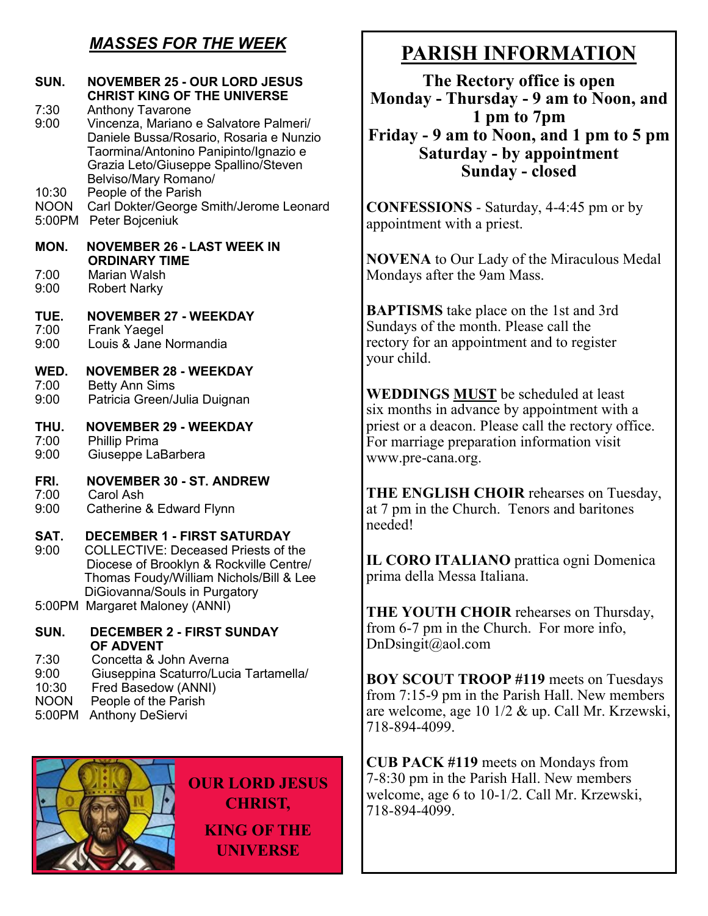# *MASSES FOR THE WEEK*

| SUN.                                 | <b>NOVEMBER 25 - OUR LORD JESUS</b><br><b>CHRIST KING OF THE UNIVERSE</b>                                                                                                                                                                     |                              |
|--------------------------------------|-----------------------------------------------------------------------------------------------------------------------------------------------------------------------------------------------------------------------------------------------|------------------------------|
| 7:30<br>9:00<br>10:30                | <b>Anthony Tavarone</b><br>Vincenza, Mariano e Salvatore Palmeri/<br>Daniele Bussa/Rosario, Rosaria e Nunzio<br>Taormina/Antonino Panipinto/Ignazio e<br>Grazia Leto/Giuseppe Spallino/Steven<br>Belviso/Mary Romano/<br>People of the Parish | $\bf Mo$<br>Fri              |
| <b>NOON</b><br>5:00PM                | Carl Dokter/George Smith/Jerome Leonard<br>Peter Bojceniuk                                                                                                                                                                                    | <b>COI</b><br>appc           |
| MON.<br>7:00<br>9:00                 | <b>NOVEMBER 26 - LAST WEEK IN</b><br><b>ORDINARY TIME</b><br>Marian Walsh                                                                                                                                                                     | NO<br>Mon                    |
| TUE.<br>7:00<br>9:00                 | <b>Robert Narky</b><br><b>NOVEMBER 27 - WEEKDAY</b><br><b>Frank Yaegel</b><br>Louis & Jane Normandia                                                                                                                                          | <b>BAF</b><br>Suno<br>recto  |
| WED.<br>7:00<br>9:00                 | <b>NOVEMBER 28 - WEEKDAY</b><br><b>Betty Ann Sims</b><br>Patricia Green/Julia Duignan                                                                                                                                                         | your<br><b>WE</b><br>six n   |
| THU.<br>7:00<br>9:00                 | <b>NOVEMBER 29 - WEEKDAY</b><br>Phillip Prima<br>Giuseppe LaBarbera                                                                                                                                                                           | pries<br>For 1<br><b>WWV</b> |
| FRI.<br>7:00<br>9:00                 | <b>NOVEMBER 30 - ST. ANDREW</b><br>Carol Ash<br>Catherine & Edward Flynn                                                                                                                                                                      | <b>THI</b><br>at $71$        |
| SAT.<br>9:00                         | <b>DECEMBER 1 - FIRST SATURDAY</b><br><b>COLLECTIVE: Deceased Priests of the</b><br>Diocese of Brooklyn & Rockville Centre/<br>Thomas Foudy/William Nichols/Bill & Lee<br>DiGiovanna/Souls in Purgatory                                       | need<br>IL C<br>prim         |
|                                      | 5:00PM Margaret Maloney (ANNI)                                                                                                                                                                                                                | THI                          |
| SUN.<br>7:30                         | <b>DECEMBER 2 - FIRST SUNDAY</b><br><b>OF ADVENT</b><br>Concetta & John Averna                                                                                                                                                                | from<br>DnD                  |
| 9:00<br>10:30<br>$\bigcap_{\Lambda}$ | Giuseppina Scaturro/Lucia Tartamella/<br>Fred Basedow (ANNI)<br>$\mathbf{L} = \mathbf{L} \mathbf{L} + \mathbf{L} \mathbf{L}$                                                                                                                  | <b>BO</b><br>from            |

- NOON People of the Parish
- 5:00PM Anthony DeSiervi



**OUR LORD JESUS CHRIST, KING OF THE UNIVERSE**

# **PARISH INFORMATION**

**The Rectory office is open Monday - Thursday - 9 am to Noon, and 1 pm to 7pm Friday - 9 am to Noon, and 1 pm to 5 pm Saturday - by appointment Sunday - closed**

**NFESSIONS** - Saturday, 4-4:45 pm or by intment with a priest.

**VENA** to Our Lady of the Miraculous Medal days after the 9am Mass.

**PTISMS** take place on the 1st and 3rd days of the month. Please call the bry for an appointment and to register child.

**WEDDINGS MUST** be scheduled at least nonths in advance by appointment with a st or a deacon. Please call the rectory office. marriage preparation information visit w.pre-cana.org.

**E ENGLISH CHOIR** rehearses on Tuesday, pm in the Church. Tenors and baritones led!

**CORO ITALIANO** prattica ogni Domenica a della Messa Italiana.

**E YOUTH CHOIR** rehearses on Thursday, 16-7 pm in the Church. For more info,  $\text{O}$ singit $\textcircled{a}$ aol.com

**BOY SCOUT TROOP #119** meets on Tuesdays  $\eta$  7:15-9 pm in the Parish Hall. New members are welcome, age 10 1/2 & up. Call Mr. Krzewski, 718-894-4099.

**CUB PACK #119** meets on Mondays from 7-8:30 pm in the Parish Hall. New members welcome, age 6 to 10-1/2. Call Mr. Krzewski, 718-894-4099.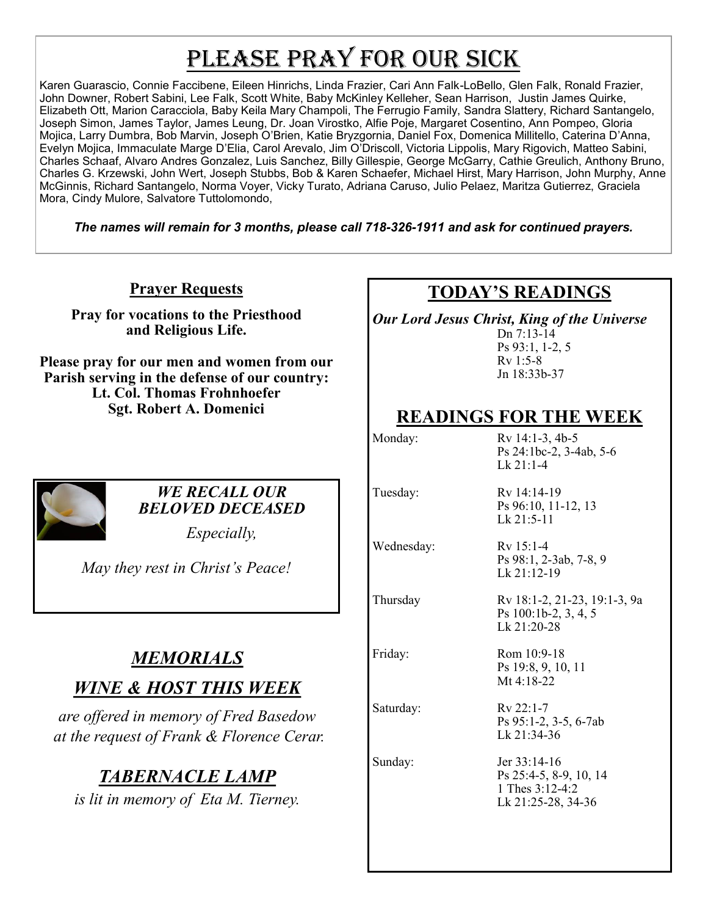# PLEASE PRAY FOR OUR SICK

Karen Guarascio, Connie Faccibene, Eileen Hinrichs, Linda Frazier, Cari Ann Falk-LoBello, Glen Falk, Ronald Frazier, John Downer, Robert Sabini, Lee Falk, Scott White, Baby McKinley Kelleher, Sean Harrison, Justin James Quirke, Elizabeth Ott, Marion Caracciola, Baby Keila Mary Champoli, The Ferrugio Family, Sandra Slattery, Richard Santangelo, Joseph Simon, James Taylor, James Leung, Dr. Joan Virostko, Alfie Poje, Margaret Cosentino, Ann Pompeo, Gloria Mojica, Larry Dumbra, Bob Marvin, Joseph O'Brien, Katie Bryzgornia, Daniel Fox, Domenica Millitello, Caterina D'Anna, Evelyn Mojica, Immaculate Marge D'Elia, Carol Arevalo, Jim O'Driscoll, Victoria Lippolis, Mary Rigovich, Matteo Sabini, Charles Schaaf, Alvaro Andres Gonzalez, Luis Sanchez, Billy Gillespie, George McGarry, Cathie Greulich, Anthony Bruno, Charles G. Krzewski, John Wert, Joseph Stubbs, Bob & Karen Schaefer, Michael Hirst, Mary Harrison, John Murphy, Anne McGinnis, Richard Santangelo, Norma Voyer, Vicky Turato, Adriana Caruso, Julio Pelaez, Maritza Gutierrez, Graciela Mora, Cindy Mulore, Salvatore Tuttolomondo,

*The names will remain for 3 months, please call 718-326-1911 and ask for continued prayers.*

**Prayer Requests**

**Pray for vocations to the Priesthood and Religious Life.** 

**Please pray for our men and women from our Parish serving in the defense of our country: Lt. Col. Thomas Frohnhoefer Sgt. Robert A. Domenici** 



#### *WE RECALL OUR BELOVED DECEASED*

*Especially,*

*May they rest in Christ's Peace!*

# *MEMORIALS*

# *WINE & HOST THIS WEEK*

*are offered in memory of Fred Basedow at the request of Frank & Florence Cerar.*

# *TABERNACLE LAMP*

*is lit in memory of Eta M. Tierney.*

# **TODAY'S READINGS**

*Our Lord Jesus Christ, King of the Universe*

Dn 7:13-14 Ps 93:1, 1-2, 5 Rv 1:5-8 Jn 18:33b-37

# **READINGS FOR THE WEEK**

Monday: Rv 14:1-3, 4b-5 Ps 24:1bc-2, 3-4ab, 5-6 Lk 21:1-4

Tuesday: Rv 14:14-19 Ps 96:10, 11-12, 13 Lk 21:5-11

Wednesday: Rv 15:1-4 Ps 98:1, 2-3ab, 7-8, 9 Lk 21:12-19

Thursday Rv 18:1-2, 21-23, 19:1-3, 9a

Ps 100:1b-2, 3, 4, 5 Lk 21:20-28

Friday: Rom 10:9-18 Ps 19:8, 9, 10, 11 Mt 4:18-22

Saturday: Rv 22:1-7 Ps 95:1-2, 3-5, 6-7ab Lk 21:34-36

Sunday: Jer 33:14-16 Ps 25:4-5, 8-9, 10, 14 1 Thes 3:12-4:2 Lk 21:25-28, 34-36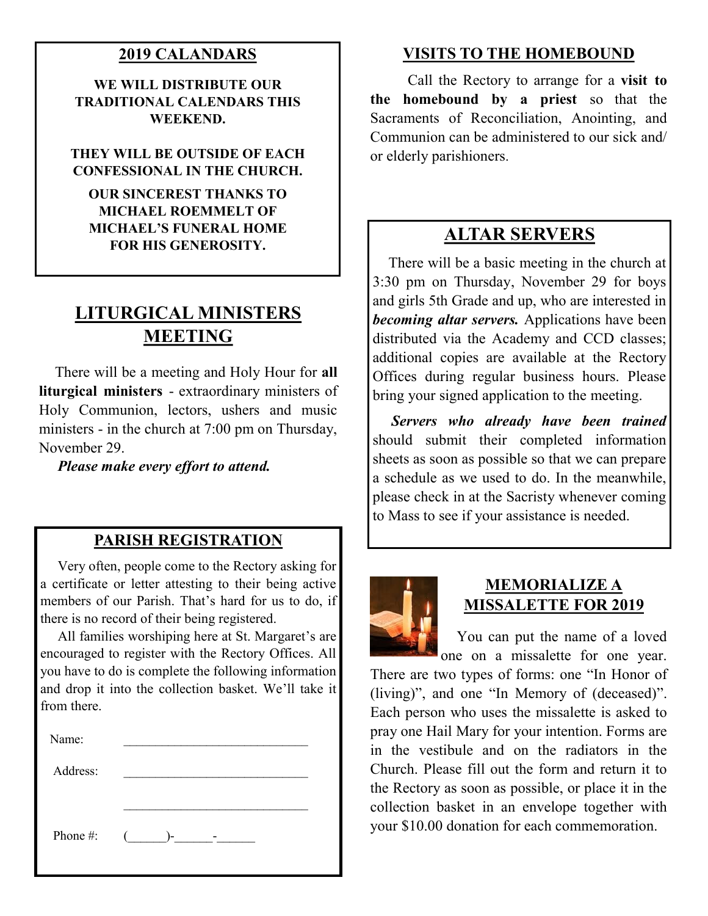#### **2019 CALANDARS**

**WE WILL DISTRIBUTE OUR TRADITIONAL CALENDARS THIS WEEKEND.**

#### **THEY WILL BE OUTSIDE OF EACH CONFESSIONAL IN THE CHURCH.**

**OUR SINCEREST THANKS TO MICHAEL ROEMMELT OF MICHAEL'S FUNERAL HOME FOR HIS GENEROSITY.**

# **LITURGICAL MINISTERS MEETING**

 There will be a meeting and Holy Hour for **all liturgical ministers** - extraordinary ministers of Holy Communion, lectors, ushers and music ministers - in the church at 7:00 pm on Thursday, November 29.

*Please make every effort to attend.*

#### **PARISH REGISTRATION**

 Very often, people come to the Rectory asking for a certificate or letter attesting to their being active members of our Parish. That's hard for us to do, if there is no record of their being registered.

 All families worshiping here at St. Margaret's are encouraged to register with the Rectory Offices. All you have to do is complete the following information and drop it into the collection basket. We'll take it from there.

| Name:    |                                       |
|----------|---------------------------------------|
| Address: |                                       |
|          |                                       |
| Phone #: | $($ $)$ -<br>$\overline{\phantom{a}}$ |

#### **VISITS TO THE HOMEBOUND**

 Call the Rectory to arrange for a **visit to the homebound by a priest** so that the Sacraments of Reconciliation, Anointing, and Communion can be administered to our sick and/ or elderly parishioners.

## **ALTAR SERVERS**

 There will be a basic meeting in the church at 3:30 pm on Thursday, November 29 for boys and girls 5th Grade and up, who are interested in *becoming altar servers.* Applications have been distributed via the Academy and CCD classes; additional copies are available at the Rectory Offices during regular business hours. Please bring your signed application to the meeting.

 *Servers who already have been trained* should submit their completed information sheets as soon as possible so that we can prepare a schedule as we used to do. In the meanwhile, please check in at the Sacristy whenever coming to Mass to see if your assistance is needed.



#### **MEMORIALIZE A MISSALETTE FOR 2019**

 You can put the name of a loved one on a missalette for one year.

There are two types of forms: one "In Honor of (living)", and one "In Memory of (deceased)". Each person who uses the missalette is asked to pray one Hail Mary for your intention. Forms are in the vestibule and on the radiators in the Church. Please fill out the form and return it to the Rectory as soon as possible, or place it in the collection basket in an envelope together with your \$10.00 donation for each commemoration.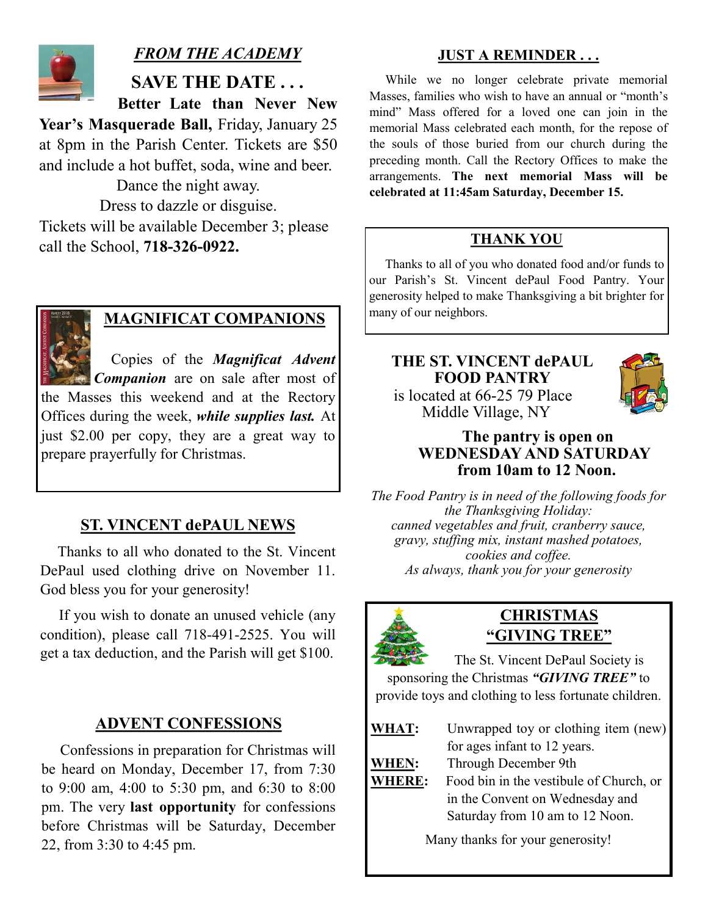

## *FROM THE ACADEMY*

**SAVE THE DATE . . .**

 **Better Late than Never New** 

**Year's Masquerade Ball,** Friday, January 25 at 8pm in the Parish Center. Tickets are \$50 and include a hot buffet, soda, wine and beer.

Dance the night away.

Dress to dazzle or disguise. Tickets will be available December 3; please call the School, **718-326-0922.**



# **MAGNIFICAT COMPANIONS** many of our neighbors.

 Copies of the *Magnificat Advent Companion* are on sale after most of the Masses this weekend and at the Rectory Offices during the week, *while supplies last.* At just \$2.00 per copy, they are a great way to prepare prayerfully for Christmas.

#### **ST. VINCENT dePAUL NEWS**

 Thanks to all who donated to the St. Vincent DePaul used clothing drive on November 11. God bless you for your generosity!

 If you wish to donate an unused vehicle (any condition), please call 718-491-2525. You will get a tax deduction, and the Parish will get \$100.

#### **ADVENT CONFESSIONS**

 Confessions in preparation for Christmas will be heard on Monday, December 17, from 7:30 to 9:00 am, 4:00 to 5:30 pm, and 6:30 to 8:00 pm. The very **last opportunity** for confessions before Christmas will be Saturday, December 22, from 3:30 to 4:45 pm.

#### **JUST A REMINDER . . .**

 While we no longer celebrate private memorial Masses, families who wish to have an annual or "month's mind" Mass offered for a loved one can join in the memorial Mass celebrated each month, for the repose of the souls of those buried from our church during the preceding month. Call the Rectory Offices to make the arrangements. **The next memorial Mass will be celebrated at 11:45am Saturday, December 15.** 

#### **THANK YOU**

 Thanks to all of you who donated food and/or funds to our Parish's St. Vincent dePaul Food Pantry. Your generosity helped to make Thanksgiving a bit brighter for

**THE ST. VINCENT dePAUL FOOD PANTRY** is located at 66-25 79 Place Middle Village, NY



#### **The pantry is open on WEDNESDAY AND SATURDAY from 10am to 12 Noon.**

*The Food Pantry is in need of the following foods for the Thanksgiving Holiday: canned vegetables and fruit, cranberry sauce, gravy, stuffing mix, instant mashed potatoes, cookies and coffee. As always, thank you for your generosity*



#### **CHRISTMAS "GIVING TREE"**

The St. Vincent DePaul Society is sponsoring the Christmas *"GIVING TREE"* to provide toys and clothing to less fortunate children.

- **WHAT:** Unwrapped toy or clothing item (new)
	- for ages infant to 12 years.
- **WHEN:** Through December 9th
- **WHERE:** Food bin in the vestibule of Church, or in the Convent on Wednesday and Saturday from 10 am to 12 Noon.

Many thanks for your generosity!